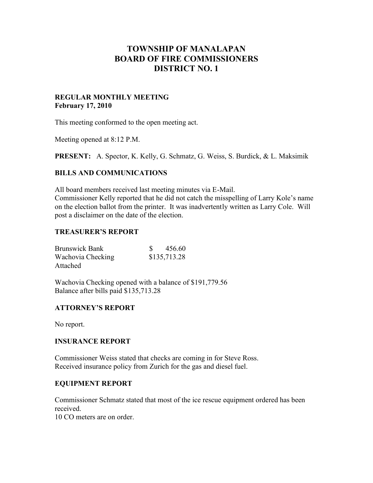# **TOWNSHIP OF MANALAPAN BOARD OF FIRE COMMISSIONERS DISTRICT NO. 1**

### **REGULAR MONTHLY MEETING February 17, 2010**

This meeting conformed to the open meeting act.

Meeting opened at 8:12 P.M.

**PRESENT:** A. Spector, K. Kelly, G. Schmatz, G. Weiss, S. Burdick, & L. Maksimik

#### **BILLS AND COMMUNICATIONS**

All board members received last meeting minutes via E-Mail. Commissioner Kelly reported that he did not catch the misspelling of Larry Kole's name on the election ballot from the printer. It was inadvertently written as Larry Cole. Will post a disclaimer on the date of the election.

### **TREASURER'S REPORT**

| <b>Brunswick Bank</b> | 456.60       |
|-----------------------|--------------|
| Wachovia Checking     | \$135,713.28 |
| Attached              |              |

Wachovia Checking opened with a balance of \$191,779.56 Balance after bills paid \$135,713.28

## **ATTORNEY'S REPORT**

No report.

#### **INSURANCE REPORT**

Commissioner Weiss stated that checks are coming in for Steve Ross. Received insurance policy from Zurich for the gas and diesel fuel.

### **EQUIPMENT REPORT**

Commissioner Schmatz stated that most of the ice rescue equipment ordered has been received.

10 CO meters are on order.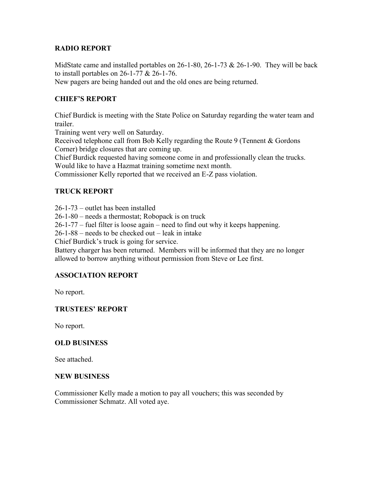## **RADIO REPORT**

MidState came and installed portables on 26-1-80, 26-1-73 & 26-1-90. They will be back to install portables on 26-1-77 & 26-1-76.

New pagers are being handed out and the old ones are being returned.

# **CHIEF'S REPORT**

Chief Burdick is meeting with the State Police on Saturday regarding the water team and trailer.

Training went very well on Saturday.

Received telephone call from Bob Kelly regarding the Route 9 (Tennent & Gordons Corner) bridge closures that are coming up.

Chief Burdick requested having someone come in and professionally clean the trucks. Would like to have a Hazmat training sometime next month.

Commissioner Kelly reported that we received an E-Z pass violation.

# **TRUCK REPORT**

26-1-73 – outlet has been installed

26-1-80 – needs a thermostat; Robopack is on truck

26-1-77 – fuel filter is loose again – need to find out why it keeps happening.

26-1-88 – needs to be checked out – leak in intake

Chief Burdick's truck is going for service.

Battery charger has been returned. Members will be informed that they are no longer allowed to borrow anything without permission from Steve or Lee first.

#### **ASSOCIATION REPORT**

No report.

## **TRUSTEES' REPORT**

No report.

#### **OLD BUSINESS**

See attached.

#### **NEW BUSINESS**

Commissioner Kelly made a motion to pay all vouchers; this was seconded by Commissioner Schmatz. All voted aye.